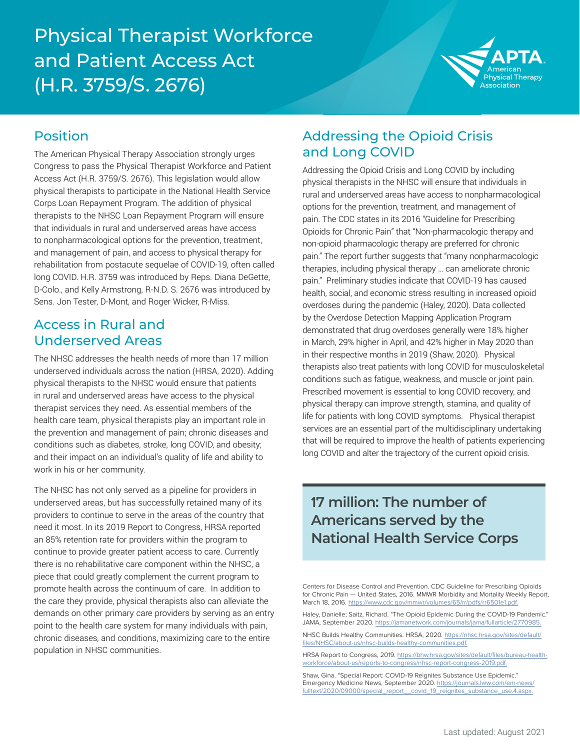## Physical Therapist Workforce and Patient Access Act (H.R. 3759/S. 2676)



#### Position

The American Physical Therapy Association strongly urges Congress to pass the Physical Therapist Workforce and Patient Access Act (H.R. 3759/S. 2676). This legislation would allow physical therapists to participate in the National Health Service Corps Loan Repayment Program. The addition of physical therapists to the NHSC Loan Repayment Program will ensure that individuals in rural and underserved areas have access to nonpharmacological options for the prevention, treatment, and management of pain, and access to physical therapy for rehabilitation from postacute sequelae of COVID-19, often called long COVID. H.R. 3759 was introduced by Reps. Diana DeGette, D-Colo., and Kelly Armstrong, R-N.D. S. 2676 was introduced by Sens. Jon Tester, D-Mont, and Roger Wicker, R-Miss.

#### Access in Rural and Underserved Areas

The NHSC addresses the health needs of more than 17 million underserved individuals across the nation (HRSA, 2020). Adding physical therapists to the NHSC would ensure that patients in rural and underserved areas have access to the physical therapist services they need. As essential members of the health care team, physical therapists play an important role in the prevention and management of pain; chronic diseases and conditions such as diabetes, stroke, long COVID, and obesity; and their impact on an individual's quality of life and ability to work in his or her community.

The NHSC has not only served as a pipeline for providers in underserved areas, but has successfully retained many of its providers to continue to serve in the areas of the country that need it most. In its 2019 Report to Congress, HRSA reported an 85% retention rate for providers within the program to continue to provide greater patient access to care. Currently there is no rehabilitative care component within the NHSC, a piece that could greatly complement the current program to promote health across the continuum of care. In addition to the care they provide, physical therapists also can alleviate the demands on other primary care providers by serving as an entry point to the health care system for many individuals with pain, chronic diseases, and conditions, maximizing care to the entire population in NHSC communities.

#### Addressing the Opioid Crisis and Long COVID

Addressing the Opioid Crisis and Long COVID by including physical therapists in the NHSC will ensure that individuals in rural and underserved areas have access to nonpharmacological options for the prevention, treatment, and management of pain. The CDC states in its 2016 "Guideline for Prescribing Opioids for Chronic Pain" that "Non-pharmacologic therapy and non-opioid pharmacologic therapy are preferred for chronic pain." The report further suggests that "many nonpharmacologic therapies, including physical therapy … can ameliorate chronic pain." Preliminary studies indicate that COVID-19 has caused health, social, and economic stress resulting in increased opioid overdoses during the pandemic (Haley, 2020). Data collected by the Overdose Detection Mapping Application Program demonstrated that drug overdoses generally were 18% higher in March, 29% higher in April, and 42% higher in May 2020 than in their respective months in 2019 (Shaw, 2020). Physical therapists also treat patients with long COVID for musculoskeletal conditions such as fatigue, weakness, and muscle or joint pain. Prescribed movement is essential to long COVID recovery, and physical therapy can improve strength, stamina, and quality of life for patients with long COVID symptoms. Physical therapist services are an essential part of the multidisciplinary undertaking that will be required to improve the health of patients experiencing long COVID and alter the trajectory of the current opioid crisis.

## **17 million: The number of Americans served by the National Health Service Corps**

Centers for Disease Control and Prevention. CDC Guideline for Prescribing Opioids for Chronic Pain — United States, 2016. MMWR Morbidity and Mortality Weekly Report, March 18, 2016. [https://www.cdc.gov/mmwr/volumes/65/rr/pdfs/rr6501e1.pdf.](https://www.cdc.gov/mmwr/volumes/65/rr/pdfs/rr6501e1.pdf)

Haley, Danielle; Saitz, Richard. "The Opioid Epidemic During the COVID-19 Pandemic." JAMA, September 2020. [https://jamanetwork.com/journals/jama/fullarticle/2770985.](https://jamanetwork.com/journals/jama/fullarticle/2770985)

NHSC Builds Healthy Communities. HRSA, 2020. [https://nhsc.hrsa.gov/sites/default/](https://nhsc.hrsa.gov/sites/default/files/NHSC/about-us/nhsc-builds-healthy-communities.pdf) [files/NHSC/about-us/nhsc-builds-healthy-communities.pdf](https://nhsc.hrsa.gov/sites/default/files/NHSC/about-us/nhsc-builds-healthy-communities.pdf).

HRSA Report to Congress, 2019. [https://bhw.hrsa.gov/sites/default/files/bureau-health](https://bhw.hrsa.gov/sites/default/files/bureau-health-workforce/about-us/reports-to-congress/nhsc-report-congress-2019.pdf)[workforce/about-us/reports-to-congress/nhsc-report-congress-2019.pdf.](https://bhw.hrsa.gov/sites/default/files/bureau-health-workforce/about-us/reports-to-congress/nhsc-report-congress-2019.pdf)

Shaw, Gina. "Special Report: COVID-19 Reignites Substance Use Epidemic." Emergency Medicine News, September 2020. [https://journals.lww.com/em-news/](https://journals.lww.com/em-news/fulltext/2020/09000/special_report__covid_19_reignites_substance_use.4.aspx) [fulltext/2020/09000/special\\_report\\_\\_covid\\_19\\_reignites\\_substance\\_use.4.aspx.](https://journals.lww.com/em-news/fulltext/2020/09000/special_report__covid_19_reignites_substance_use.4.aspx)